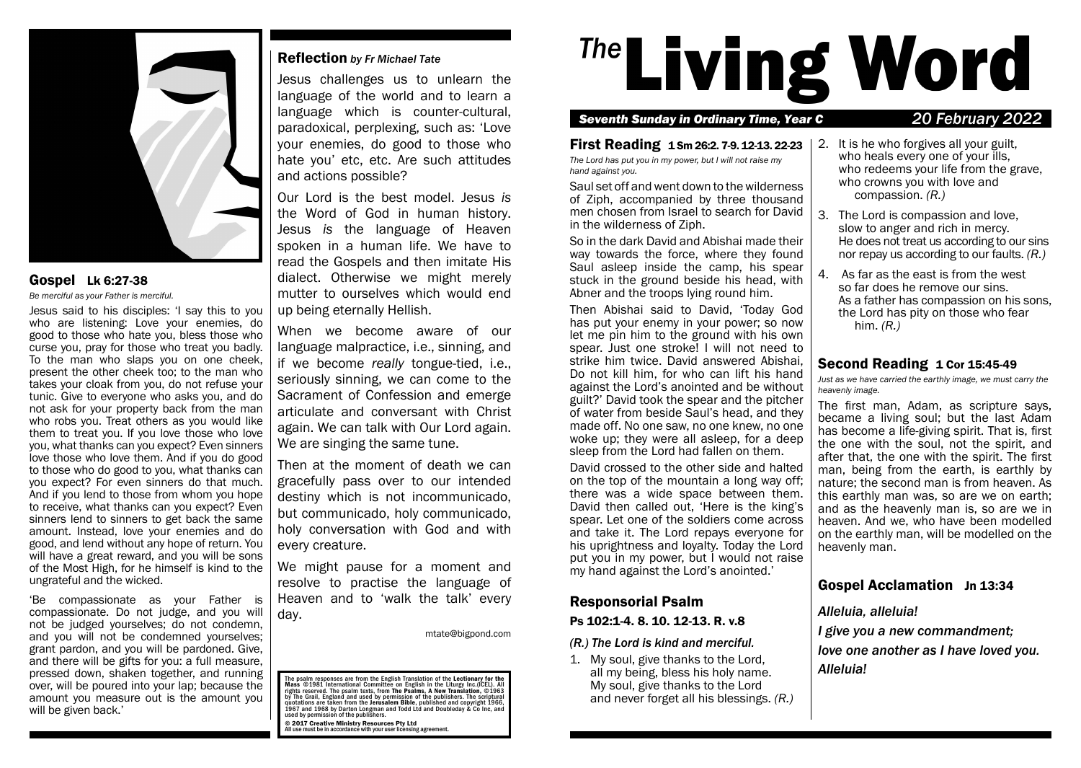

#### Gospel Lk 6:27-38 *Be merciful as your Father is merciful.*

Jesus said to his disciples: 'I say this to you who are listening: Love your enemies, do good to those who hate you, bless those who curse you, pray for those who treat you badly. To the man who slaps you on one cheek, present the other cheek too; to the man who takes your cloak from you, do not refuse your tunic. Give to everyone who asks you, and do not ask for your property back from the man who robs you. Treat others as you would like them to treat you. If you love those who love you, what thanks can you expect? Even sinners love those who love them. And if you do good to those who do good to you, what thanks can you expect? For even sinners do that much. And if you lend to those from whom you hope to receive, what thanks can you expect? Even sinners lend to sinners to get back the same amount. Instead, love your enemies and do good, and lend without any hope of return. You will have a great reward, and you will be sons of the Most High, for he himself is kind to the ungrateful and the wicked.

'Be compassionate as your Father is compassionate. Do not judge, and you will not be judged yourselves; do not condemn, and you will not be condemned yourselves; grant pardon, and you will be pardoned. Give, and there will be gifts for you: a full measure, pressed down, shaken together, and running over, will be poured into your lap; because the amount you measure out is the amount you will be given back.'

#### Reflection *by Fr Michael Tate*

Jesus challenges us to unlearn the language of the world and to learn a language which is counter-cultural, paradoxical, perplexing, such as: 'Love your enemies, do good to those who hate you' etc, etc. Are such attitudes and actions possible?

Our Lord is the best model. Jesus *is* the Word of God in human history. Jesus *is* the language of Heaven spoken in a human life. We have to read the Gospels and then imitate His dialect. Otherwise we might merely mutter to ourselves which would end up being eternally Hellish.

When we become aware of our language malpractice, i.e., sinning, and if we become *really* tongue-tied, i.e., seriously sinning, we can come to the Sacrament of Confession and emerge articulate and conversant with Christ again. We can talk with Our Lord again. We are singing the same tune.

Then at the moment of death we can gracefully pass over to our intended destiny which is not incommunicado, but communicado, holy communicado, holy conversation with God and with every creature.

We might pause for a moment and resolve to practise the language of Heaven and to 'walk the talk' every day.

mtate@bigpond.com

The psalm responses are from the English Translation of the Lectionary for the<br>Mass ©1981 International Committee on English in the Liturgy Inc.(ICEL). All rights reserved. The psalm texts, from The Psalms, A New Translation, ©1963<br>by The Grail, England and used by permission of the publishers. The scriptural<br>quotations are taken from the Jerusalem Bible, published and copyri

© 2017 Creative Ministry Resources Pty Ltd All use must be in accordance with your user licensing agreement.

# <sup>The</sup>Living Word

#### *Seventh Sunday in Ordinary Time, Year C 20 February 2022*

First Reading 1 Sm 26:2. 7-9. 12-13. 22-23

*The Lord has put you in my power, but I will not raise my hand against you.*

Saul set off and went down to the wilderness of Ziph, accompanied by three thousand men chosen from Israel to search for David in the wilderness of Ziph.

So in the dark David and Abishai made their way towards the force, where they found Saul asleep inside the camp, his spear stuck in the ground beside his head, with Abner and the troops lying round him.

Then Abishai said to David, 'Today God has put your enemy in your power; so now let me pin him to the ground with his own spear. Just one stroke! I will not need to strike him twice. David answered Abishai, Do not kill him, for who can lift his hand against the Lord's anointed and be without guilt?' David took the spear and the pitcher of water from beside Saul's head, and they made off. No one saw, no one knew, no one woke up; they were all asleep, for a deep sleep from the Lord had fallen on them.

David crossed to the other side and halted on the top of the mountain a long way off; there was a wide space between them. David then called out, 'Here is the king's spear. Let one of the soldiers come across and take it. The Lord repays everyone for his uprightness and loyalty. Today the Lord put you in my power, but I would not raise my hand against the Lord's anointed.'

# Responsorial Psalm

#### Ps 102:1-4. 8. 10. 12-13. R. v.8

#### *(R.) The Lord is kind and merciful.*

1. My soul, give thanks to the Lord, all my being, bless his holy name. My soul, give thanks to the Lord and never forget all his blessings. *(R.)* 

- 2. It is he who forgives all your guilt, who heals every one of your ills. who redeems your life from the grave, who crowns you with love and compassion. *(R.)*
- 3. The Lord is compassion and love, slow to anger and rich in mercy. He does not treat us according to our sins nor repay us according to our faults. *(R.)*
- 4. As far as the east is from the west so far does he remove our sins. As a father has compassion on his sons, the Lord has pity on those who fear him. *(R.)*

# Second Reading 1 Cor 15:45-49

*Just as we have carried the earthly image, we must carry the heavenly image.*

The first man, Adam, as scripture says, became a living soul; but the last Adam has become a life-giving spirit. That is, first the one with the soul, not the spirit, and after that, the one with the spirit. The first man, being from the earth, is earthly by nature; the second man is from heaven. As this earthly man was, so are we on earth; and as the heavenly man is, so are we in heaven. And we, who have been modelled on the earthly man, will be modelled on the heavenly man.

# Gospel Acclamation Jn 13:34

*Alleluia, alleluia!*

*I give you a new commandment; love one another as I have loved you. Alleluia!*